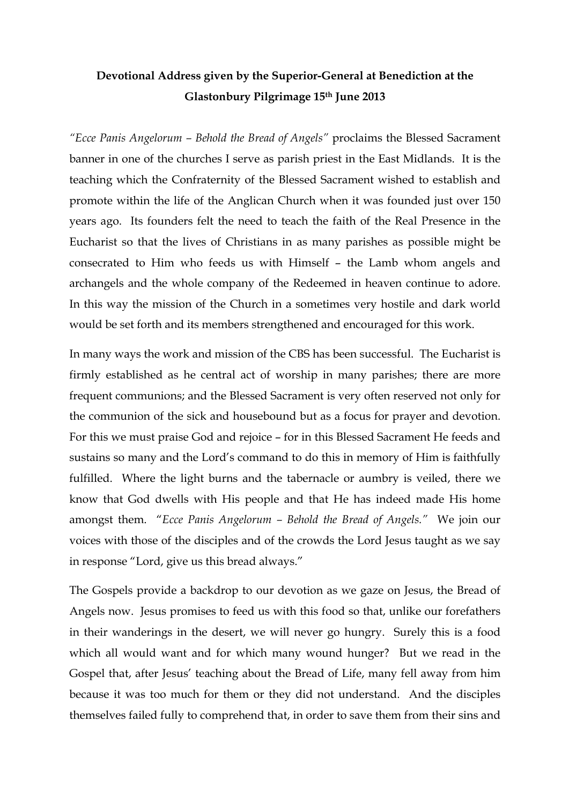## **Devotional Address given by the Superior-General at Benediction at the Glastonbury Pilgrimage 15th June 2013**

*"Ecce Panis Angelorum – Behold the Bread of Angels"* proclaims the Blessed Sacrament banner in one of the churches I serve as parish priest in the East Midlands. It is the teaching which the Confraternity of the Blessed Sacrament wished to establish and promote within the life of the Anglican Church when it was founded just over 150 years ago. Its founders felt the need to teach the faith of the Real Presence in the Eucharist so that the lives of Christians in as many parishes as possible might be consecrated to Him who feeds us with Himself – the Lamb whom angels and archangels and the whole company of the Redeemed in heaven continue to adore. In this way the mission of the Church in a sometimes very hostile and dark world would be set forth and its members strengthened and encouraged for this work.

In many ways the work and mission of the CBS has been successful. The Eucharist is firmly established as he central act of worship in many parishes; there are more frequent communions; and the Blessed Sacrament is very often reserved not only for the communion of the sick and housebound but as a focus for prayer and devotion. For this we must praise God and rejoice – for in this Blessed Sacrament He feeds and sustains so many and the Lord's command to do this in memory of Him is faithfully fulfilled. Where the light burns and the tabernacle or aumbry is veiled, there we know that God dwells with His people and that He has indeed made His home amongst them. "*Ecce Panis Angelorum – Behold the Bread of Angels."* We join our voices with those of the disciples and of the crowds the Lord Jesus taught as we say in response "Lord, give us this bread always."

The Gospels provide a backdrop to our devotion as we gaze on Jesus, the Bread of Angels now. Jesus promises to feed us with this food so that, unlike our forefathers in their wanderings in the desert, we will never go hungry. Surely this is a food which all would want and for which many wound hunger? But we read in the Gospel that, after Jesus' teaching about the Bread of Life, many fell away from him because it was too much for them or they did not understand. And the disciples themselves failed fully to comprehend that, in order to save them from their sins and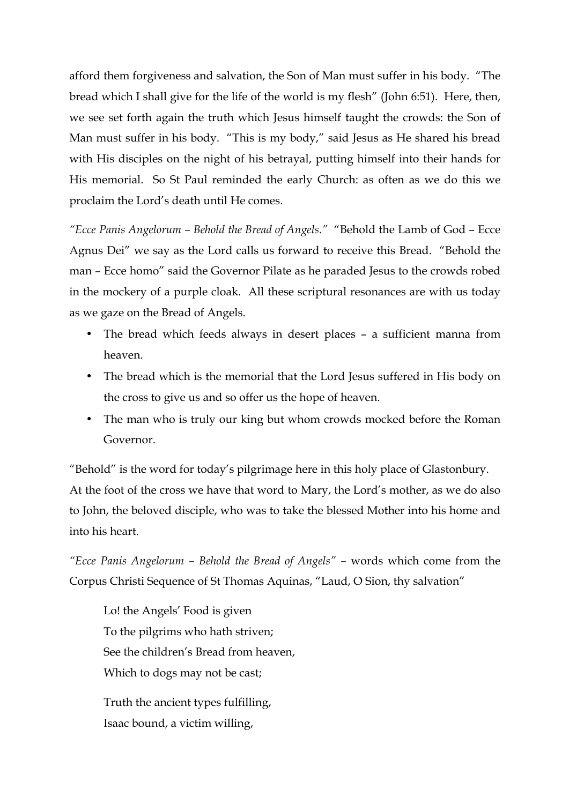afford them forgiveness and salvation, the Son of Man must suffer in his body. "The bread which I shall give for the life of the world is my flesh" (John 6:51). Here, then, we see set forth again the truth which Jesus himself taught the crowds: the Son of Man must suffer in his body. "This is my body," said Jesus as He shared his bread with His disciples on the night of his betrayal, putting himself into their hands for His memorial. So St Paul reminded the early Church: as often as we do this we proclaim the Lord's death until He comes.

*"Ecce Panis Angelorum – Behold the Bread of Angels."* "Behold the Lamb of God – Ecce Agnus Dei" we say as the Lord calls us forward to receive this Bread. "Behold the man – Ecce homo" said the Governor Pilate as he paraded Jesus to the crowds robed in the mockery of a purple cloak. All these scriptural resonances are with us today as we gaze on the Bread of Angels.

- The bread which feeds always in desert places a sufficient manna from heaven.
- The bread which is the memorial that the Lord Jesus suffered in His body on the cross to give us and so offer us the hope of heaven.
- The man who is truly our king but whom crowds mocked before the Roman Governor.

"Behold" is the word for today's pilgrimage here in this holy place of Glastonbury. At the foot of the cross we have that word to Mary, the Lord's mother, as we do also to John, the beloved disciple, who was to take the blessed Mother into his home and into his heart.

*"Ecce Panis Angelorum – Behold the Bread of Angels"* – words which come from the Corpus Christi Sequence of St Thomas Aquinas, "Laud, O Sion, thy salvation"

Lo! the Angels' Food is given To the pilgrims who hath striven; See the children's Bread from heaven, Which to dogs may not be cast;

Truth the ancient types fulfilling, Isaac bound, a victim willing,